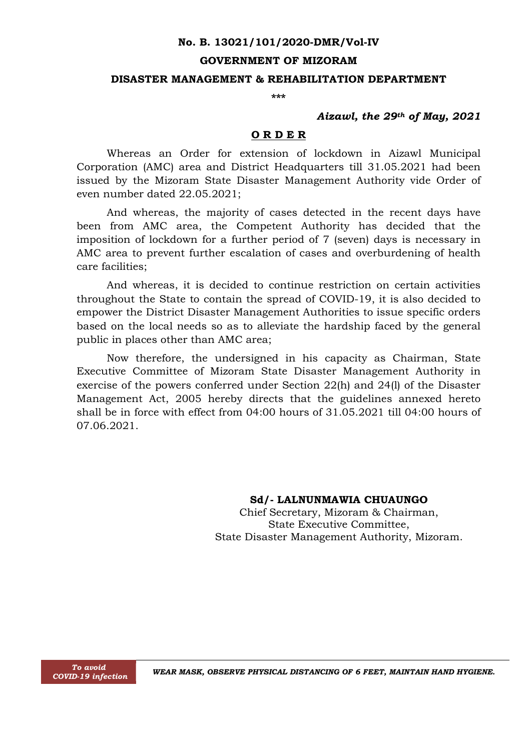#### **No. B. 13021/101/2020-DMR/Vol-IV**

#### **GOVERNMENT OF MIZORAM**

### **DISASTER MANAGEMENT & REHABILITATION DEPARTMENT**

**\*\*\***

## *Aizawl, the 29th of May, 2021*

#### **O R D E R**

Whereas an Order for extension of lockdown in Aizawl Municipal Corporation (AMC) area and District Headquarters till 31.05.2021 had been issued by the Mizoram State Disaster Management Authority vide Order of even number dated 22.05.2021;

And whereas, the majority of cases detected in the recent days have been from AMC area, the Competent Authority has decided that the imposition of lockdown for a further period of 7 (seven) days is necessary in AMC area to prevent further escalation of cases and overburdening of health care facilities;

And whereas, it is decided to continue restriction on certain activities throughout the State to contain the spread of COVID-19, it is also decided to empower the District Disaster Management Authorities to issue specific orders based on the local needs so as to alleviate the hardship faced by the general public in places other than AMC area;

Now therefore, the undersigned in his capacity as Chairman, State Executive Committee of Mizoram State Disaster Management Authority in exercise of the powers conferred under Section 22(h) and 24(l) of the Disaster Management Act, 2005 hereby directs that the guidelines annexed hereto shall be in force with effect from 04:00 hours of 31.05.2021 till 04:00 hours of 07.06.2021.

> **Sd/- LALNUNMAWIA CHUAUNGO** Chief Secretary, Mizoram & Chairman, State Executive Committee, State Disaster Management Authority, Mizoram.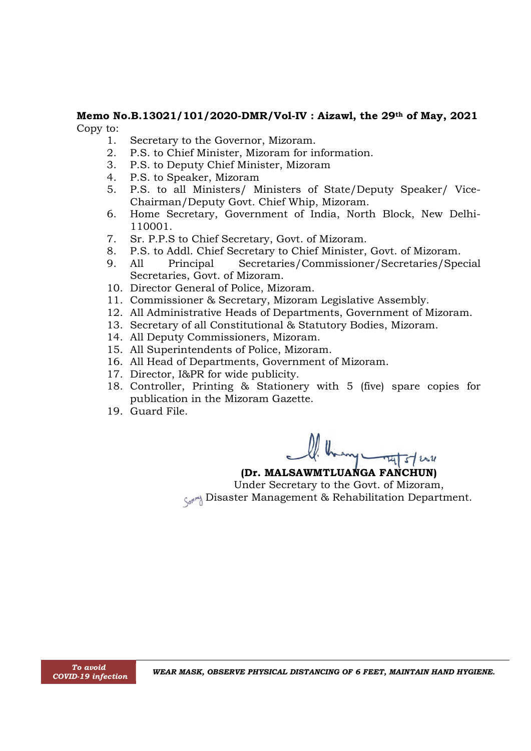# **Memo No.B.13021/101/2020-DMR/Vol-IV : Aizawl, the 29th of May, 2021** Copy to:

- 1. Secretary to the Governor, Mizoram.
- 2. P.S. to Chief Minister, Mizoram for information.
- 3. P.S. to Deputy Chief Minister, Mizoram
- 4. P.S. to Speaker, Mizoram
- 5. P.S. to all Ministers/ Ministers of State/Deputy Speaker/ Vice-Chairman/Deputy Govt. Chief Whip, Mizoram.
- 6. Home Secretary, Government of India, North Block, New Delhi-110001.
- 7. Sr. P.P.S to Chief Secretary, Govt. of Mizoram.
- 8. P.S. to Addl. Chief Secretary to Chief Minister, Govt. of Mizoram.
- 9. All Principal Secretaries/Commissioner/Secretaries/Special Secretaries, Govt. of Mizoram.
- 10. Director General of Police, Mizoram.
- 11. Commissioner & Secretary, Mizoram Legislative Assembly.
- 12. All Administrative Heads of Departments, Government of Mizoram.
- 13. Secretary of all Constitutional & Statutory Bodies, Mizoram.
- 14. All Deputy Commissioners, Mizoram.
- 15. All Superintendents of Police, Mizoram.
- 16. All Head of Departments, Government of Mizoram.
- 17. Director, I&PR for wide publicity.
- 18. Controller, Printing & Stationery with 5 (five) spare copies for publication in the Mizoram Gazette.
- 19. Guard File.

# **(Dr. MALSAWMTLUANGA FANCHUN)**

Under Secretary to the Govt. of Mizoram, Songer Management & Rehabilitation Department.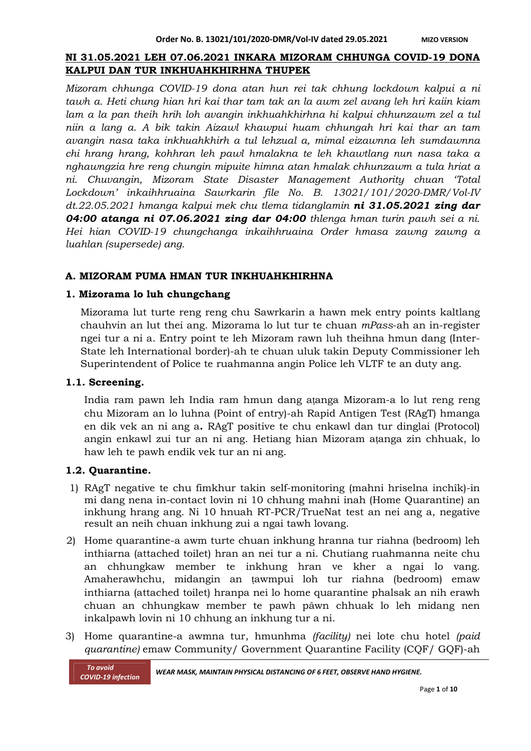# **NI 31.05.2021 LEH 07.06.2021 INKARA MIZORAM CHHUNGA COVID-19 DONA KALPUI DAN TUR INKHUAHKHIRHNA THUPEK**

*Mizoram chhunga COVID-19 dona atan hun rei tak chhung lockdown kalpui a ni tawh a. Heti chung hian hri kai thar tam tak an la awm zel avang leh hri kaiin kiam lam a la pan theih hrih loh avangin inkhuahkhirhna hi kalpui chhunzawm zel a tul niin a lang a. A bik takin Aizawl khawpui huam chhungah hri kai thar an tam avangin nasa taka inkhuahkhirh a tul lehzual a, mimal eizawnna leh sumdawnna chi hrang hrang, kohhran leh pawl hmalakna te leh khawtlang nun nasa taka a nghawngzia hre reng chungin mipuite himna atan hmalak chhunzawm a tula hriat a ni. Chuvangin, Mizoram State Disaster Management Authority chuan 'Total Lockdown' inkaihhruaina Sawrkarin file No. B. 13021/101/2020-DMR/Vol-IV dt.22.05.2021 hmanga kalpui mek chu tlema tidanglamin ni 31.05.2021 zing dar 04:00 atanga ni 07.06.2021 zing dar 04:00 thlenga hman turin pawh sei a ni. Hei hian COVID-19 chungchanga inkaihhruaina Order hmasa zawng zawng a luahlan (supersede) ang.*

# **A. MIZORAM PUMA HMAN TUR INKHUAHKHIRHNA**

# **1. Mizorama lo luh chungchang**

Mizorama lut turte reng reng chu Sawrkarin a hawn mek entry points kaltlang chauhvin an lut thei ang. Mizorama lo lut tur te chuan *mPass*-ah an in-register ngei tur a ni a. Entry point te leh Mizoram rawn luh theihna hmun dang (Inter-State leh International border)-ah te chuan uluk takin Deputy Commissioner leh Superintendent of Police te ruahmanna angin Police leh VLTF te an duty ang.

# **1.1. Screening.**

India ram pawn leh India ram hmun dang aṭanga Mizoram-a lo lut reng reng chu Mizoram an lo luhna (Point of entry)-ah Rapid Antigen Test (RAgT) hmanga en dik vek an ni ang a**.** RAgT positive te chu enkawl dan tur dinglai (Protocol) angin enkawl zui tur an ni ang. Hetiang hian Mizoram aṭanga zin chhuak, lo haw leh te pawh endik vek tur an ni ang.

# **1.2. Quarantine.**

- 1) RAgT negative te chu fimkhur takin self-monitoring (mahni hriselna inchîk)-in mi dang nena in-contact lovin ni 10 chhung mahni inah (Home Quarantine) an inkhung hrang ang. Ni 10 hnuah RT-PCR/TrueNat test an nei ang a, negative result an neih chuan inkhung zui a ngai tawh lovang.
- 2) Home quarantine-a awm turte chuan inkhung hranna tur riahna (bedroom) leh inthiarna (attached toilet) hran an nei tur a ni. Chutiang ruahmanna neite chu an chhungkaw member te inkhung hran ve kher a ngai lo vang. Amaherawhchu, midangin an ṭawmpui loh tur riahna (bedroom) emaw inthiarna (attached toilet) hranpa nei lo home quarantine phalsak an nih erawh chuan an chhungkaw member te pawh pâwn chhuak lo leh midang nen inkalpawh lovin ni 10 chhung an inkhung tur a ni.
- 3) Home quarantine-a awmna tur, hmunhma *(facility)* nei lote chu hotel *(paid quarantine)* emaw Community/ Government Quarantine Facility (CQF/ GQF)-ah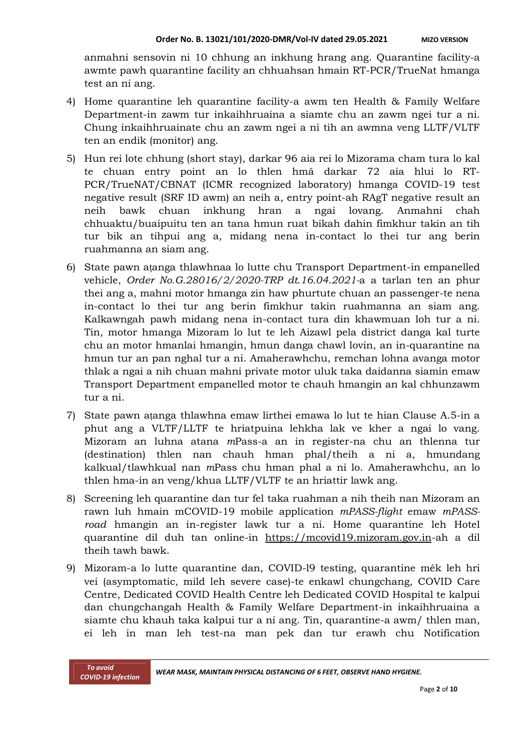anmahni sensovin ni 10 chhung an inkhung hrang ang. Quarantine facility-a awmte pawh quarantine facility an chhuahsan hmain RT-PCR/TrueNat hmanga test an ni ang.

- 4) Home quarantine leh quarantine facility-a awm ten Health & Family Welfare Department-in zawm tur inkaihhruaina a siamte chu an zawm ngei tur a ni. Chung inkaihhruainate chu an zawm ngei a ni tih an awmna veng LLTF/VLTF ten an endik (monitor) ang.
- 5) Hun rei lote chhung (short stay), darkar 96 aia rei lo Mizorama cham tura lo kal te chuan entry point an lo thlen hmâ darkar 72 aia hlui lo RT-PCR/TrueNAT/CBNAT (ICMR recognized laboratory) hmanga COVID-19 test negative result (SRF ID awm) an neih a, entry point-ah RAgT negative result an neih bawk chuan inkhung hran a ngai lovang. Anmahni chah chhuaktu/buaipuitu ten an tana hmun ruat bikah dahin fimkhur takin an tih tur bik an tihpui ang a, midang nena in-contact lo thei tur ang berin ruahmanna an siam ang.
- 6) State pawn aṭanga thlawhnaa lo lutte chu Transport Department-in empanelled vehicle, *Order No.G.28016/2/2020-TRP dt.16.04.2021-*a a tarlan ten an phur thei ang a, mahni motor hmanga zin haw phurtute chuan an passenger-te nena in-contact lo thei tur ang berin fimkhur takin ruahmanna an siam ang. Kalkawngah pawh midang nena in-contact tura din khawmuan loh tur a ni. Tin, motor hmanga Mizoram lo lut te leh Aizawl pela district danga kal turte chu an motor hmanlai hmangin, hmun danga chawl lovin, an in-quarantine na hmun tur an pan nghal tur a ni. Amaherawhchu, remchan lohna avanga motor thlak a ngai a nih chuan mahni private motor uluk taka daidanna siamin emaw Transport Department empanelled motor te chauh hmangin an kal chhunzawm tur a ni.
- 7) State pawn aṭanga thlawhna emaw lirthei emawa lo lut te hian Clause A.5-in a phut ang a VLTF/LLTF te hriatpuina lehkha lak ve kher a ngai lo vang. Mizoram an luhna atana *m*Pass-a an in register-na chu an thlenna tur (destination) thlen nan chauh hman phal/theih a ni a, hmundang kalkual/tlawhkual nan *m*Pass chu hman phal a ni lo. Amaherawhchu, an lo thlen hma-in an veng/khua LLTF/VLTF te an hriattir lawk ang.
- 8) Screening leh quarantine dan tur fel taka ruahman a nih theih nan Mizoram an rawn luh hmain mCOVID-19 mobile application *mPASS-flight* emaw *mPASSroad* hmangin an in-register lawk tur a ni. Home quarantine leh Hotel quarantine dil duh tan online-in https://mcovid19.mizoram.gov.in-ah a dil theih tawh bawk.
- 9) Mizoram-a lo lutte quarantine dan, COVID-l9 testing, quarantine mêk leh hri vei (asymptomatic, mild leh severe case)-te enkawl chungchang, COVID Care Centre, Dedicated COVID Health Centre leh Dedicated COVID Hospital te kalpui dan chungchangah Health & Family Welfare Department-in inkaihhruaina a siamte chu khauh taka kalpui tur a ni ang. Tin, quarantine-a awm/ thlen man, ei leh in man leh test-na man pek dan tur erawh chu Notification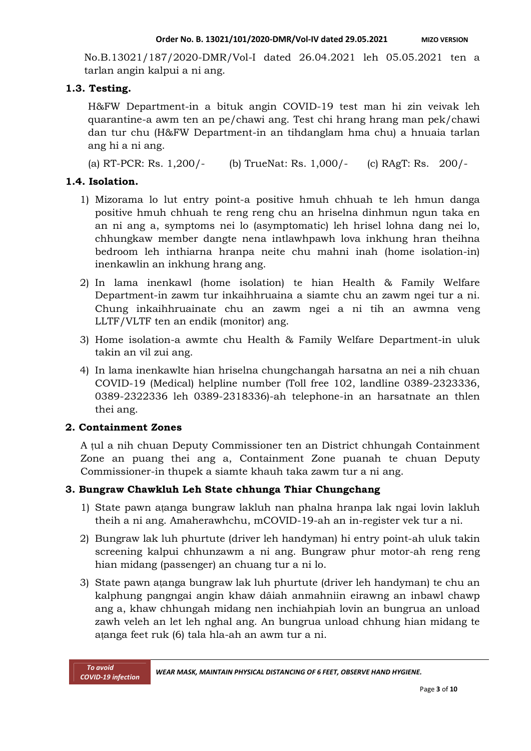No.B.13021/187/2020-DMR/Vol-I dated 26.04.2021 leh 05.05.2021 ten a tarlan angin kalpui a ni ang.

## **1.3. Testing.**

H&FW Department-in a bituk angin COVID-19 test man hi zin veivak leh quarantine-a awm ten an pe/chawi ang. Test chi hrang hrang man pek/chawi dan tur chu (H&FW Department-in an tihdanglam hma chu) a hnuaia tarlan ang hi a ni ang.

(a) RT-PCR: Rs. 1,200/- (b) TrueNat: Rs. 1,000/- (c) RAgT: Rs. 200/-

## **1.4. Isolation.**

- 1) Mizorama lo lut entry point-a positive hmuh chhuah te leh hmun danga positive hmuh chhuah te reng reng chu an hriselna dinhmun ngun taka en an ni ang a, symptoms nei lo (asymptomatic) leh hrisel lohna dang nei lo, chhungkaw member dangte nena intlawhpawh lova inkhung hran theihna bedroom leh inthiarna hranpa neite chu mahni inah (home isolation-in) inenkawlin an inkhung hrang ang.
- 2) In lama inenkawl (home isolation) te hian Health & Family Welfare Department-in zawm tur inkaihhruaina a siamte chu an zawm ngei tur a ni. Chung inkaihhruainate chu an zawm ngei a ni tih an awmna veng LLTF/VLTF ten an endik (monitor) ang.
- 3) Home isolation-a awmte chu Health & Family Welfare Department-in uluk takin an vil zui ang.
- 4) In lama inenkawlte hian hriselna chungchangah harsatna an nei a nih chuan COVID-19 (Medical) helpline number (Toll free 102, landline 0389-2323336, 0389-2322336 leh 0389-2318336)-ah telephone-in an harsatnate an thlen thei ang.

# **2. Containment Zones**

A ṭul a nih chuan Deputy Commissioner ten an District chhungah Containment Zone an puang thei ang a, Containment Zone puanah te chuan Deputy Commissioner-in thupek a siamte khauh taka zawm tur a ni ang.

# **3. Bungraw Chawkluh Leh State chhunga Thiar Chungchang**

- 1) State pawn aṭanga bungraw lakluh nan phalna hranpa lak ngai lovin lakluh theih a ni ang. Amaherawhchu, mCOVID-19-ah an in-register vek tur a ni.
- 2) Bungraw lak luh phurtute (driver leh handyman) hi entry point-ah uluk takin screening kalpui chhunzawm a ni ang. Bungraw phur motor-ah reng reng hian midang (passenger) an chuang tur a ni lo.
- 3) State pawn aṭanga bungraw lak luh phurtute (driver leh handyman) te chu an kalphung pangngai angin khaw dâiah anmahniin eirawng an inbawl chawp ang a, khaw chhungah midang nen inchiahpiah lovin an bungrua an unload zawh veleh an let leh nghal ang. An bungrua unload chhung hian midang te aṭanga feet ruk (6) tala hla-ah an awm tur a ni.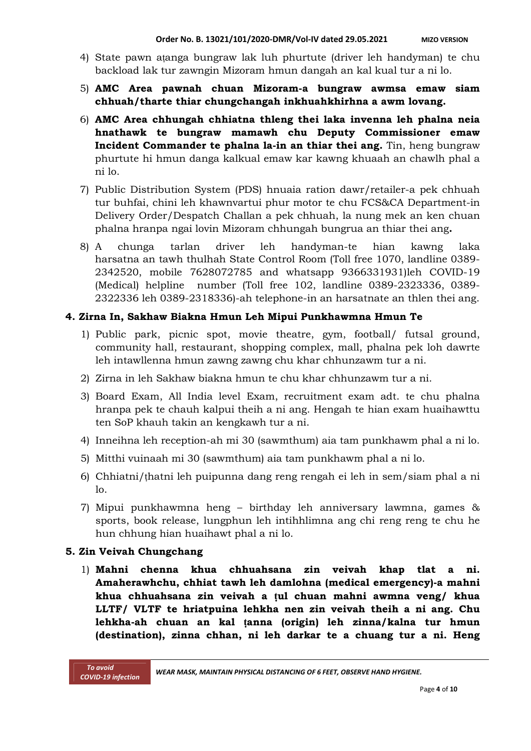- 4) State pawn aṭanga bungraw lak luh phurtute (driver leh handyman) te chu backload lak tur zawngin Mizoram hmun dangah an kal kual tur a ni lo.
- 5) **AMC Area pawnah chuan Mizoram-a bungraw awmsa emaw siam chhuah/tharte thiar chungchangah inkhuahkhirhna a awm lovang.**
- 6) **AMC Area chhungah chhiatna thleng thei laka invenna leh phalna neia hnathawk te bungraw mamawh chu Deputy Commissioner emaw Incident Commander te phalna la-in an thiar thei ang.** Tin, heng bungraw phurtute hi hmun danga kalkual emaw kar kawng khuaah an chawlh phal a ni lo.
- 7) Public Distribution System (PDS) hnuaia ration dawr/retailer-a pek chhuah tur buhfai, chini leh khawnvartui phur motor te chu FCS&CA Department-in Delivery Order/Despatch Challan a pek chhuah, la nung mek an ken chuan phalna hranpa ngai lovin Mizoram chhungah bungrua an thiar thei ang**.**
- 8) A chunga tarlan driver leh handyman-te hian kawng laka harsatna an tawh thulhah State Control Room (Toll free 1070, landline 0389- 2342520, mobile 7628072785 and whatsapp 9366331931)leh COVID-19 (Medical) helpline number (Toll free 102, landline 0389-2323336, 0389- 2322336 leh 0389-2318336)-ah telephone-in an harsatnate an thlen thei ang.

# **4. Zirna In, Sakhaw Biakna Hmun Leh Mipui Punkhawmna Hmun Te**

- 1) Public park, picnic spot, movie theatre, gym, football/ futsal ground, community hall, restaurant, shopping complex, mall, phalna pek loh dawrte leh intawllenna hmun zawng zawng chu khar chhunzawm tur a ni.
- 2) Zirna in leh Sakhaw biakna hmun te chu khar chhunzawm tur a ni.
- 3) Board Exam, All India level Exam, recruitment exam adt. te chu phalna hranpa pek te chauh kalpui theih a ni ang. Hengah te hian exam huaihawttu ten SoP khauh takin an kengkawh tur a ni.
- 4) Inneihna leh reception-ah mi 30 (sawmthum) aia tam punkhawm phal a ni lo.
- 5) Mitthi vuinaah mi 30 (sawmthum) aia tam punkhawm phal a ni lo.
- 6) Chhiatni/ṭhatni leh puipunna dang reng rengah ei leh in sem/siam phal a ni lo.
- 7) Mipui punkhawmna heng birthday leh anniversary lawmna, games & sports, book release, lungphun leh intihhlimna ang chi reng reng te chu he hun chhung hian huaihawt phal a ni lo.

# **5. Zin Veivah Chungchang**

1) **Mahni chenna khua chhuahsana zin veivah khap tlat a ni. Amaherawhchu, chhiat tawh leh damlohna (medical emergency)-a mahni khua chhuahsana zin veivah a ṭul chuan mahni awmna veng/ khua LLTF/ VLTF te hriatpuina lehkha nen zin veivah theih a ni ang. Chu lehkha-ah chuan an kal ṭanna (origin) leh zinna/kalna tur hmun (destination), zinna chhan, ni leh darkar te a chuang tur a ni. Heng**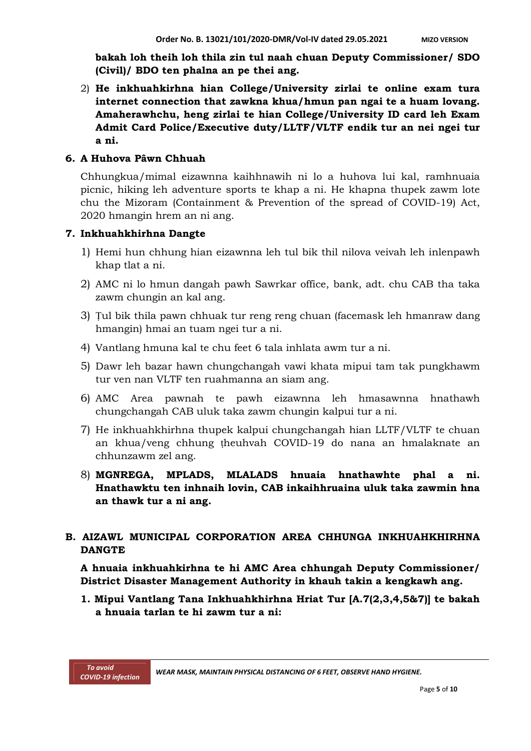**bakah loh theih loh thila zin tul naah chuan Deputy Commissioner/ SDO (Civil)/ BDO ten phalna an pe thei ang.**

2) **He inkhuahkirhna hian College/University zirlai te online exam tura internet connection that zawkna khua/hmun pan ngai te a huam lovang. Amaherawhchu, heng zirlai te hian College/University ID card leh Exam Admit Card Police/Executive duty/LLTF/VLTF endik tur an nei ngei tur a ni.**

#### **6. A Huhova Pâwn Chhuah**

Chhungkua/mimal eizawnna kaihhnawih ni lo a huhova lui kal, ramhnuaia picnic, hiking leh adventure sports te khap a ni. He khapna thupek zawm lote chu the Mizoram (Containment & Prevention of the spread of COVID-19) Act, 2020 hmangin hrem an ni ang.

#### **7. Inkhuahkhirhna Dangte**

- 1) Hemi hun chhung hian eizawnna leh tul bik thil nilova veivah leh inlenpawh khap tlat a ni.
- 2) AMC ni lo hmun dangah pawh Sawrkar office, bank, adt. chu CAB tha taka zawm chungin an kal ang.
- 3) Ṭul bik thila pawn chhuak tur reng reng chuan (facemask leh hmanraw dang hmangin) hmai an tuam ngei tur a ni.
- 4) Vantlang hmuna kal te chu feet 6 tala inhlata awm tur a ni.
- 5) Dawr leh bazar hawn chungchangah vawi khata mipui tam tak pungkhawm tur ven nan VLTF ten ruahmanna an siam ang.
- 6) AMC Area pawnah te pawh eizawnna leh hmasawnna hnathawh chungchangah CAB uluk taka zawm chungin kalpui tur a ni.
- 7) He inkhuahkhirhna thupek kalpui chungchangah hian LLTF/VLTF te chuan an khua/veng chhung ṭheuhvah COVID-19 do nana an hmalaknate an chhunzawm zel ang.
- 8) **MGNREGA, MPLADS, MLALADS hnuaia hnathawhte phal a ni. Hnathawktu ten inhnaih lovin, CAB inkaihhruaina uluk taka zawmin hna an thawk tur a ni ang.**

# **B. AIZAWL MUNICIPAL CORPORATION AREA CHHUNGA INKHUAHKHIRHNA DANGTE**

**A hnuaia inkhuahkirhna te hi AMC Area chhungah Deputy Commissioner/ District Disaster Management Authority in khauh takin a kengkawh ang.**

**1. Mipui Vantlang Tana Inkhuahkhirhna Hriat Tur [A.7(2,3,4,5&7)] te bakah a hnuaia tarlan te hi zawm tur a ni:**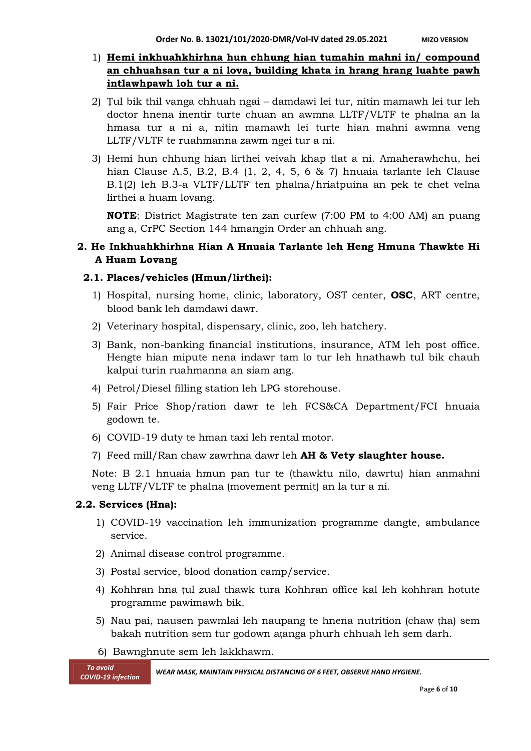# 1) **Hemi inkhuahkhirhna hun chhung hian tumahin mahni in/ compound an chhuahsan tur a ni lova, building khata in hrang hrang luahte pawh intlawhpawh loh tur a ni.**

- 2) Ṭul bik thil vanga chhuah ngai damdawi lei tur, nitin mamawh lei tur leh doctor hnena inentir turte chuan an awmna LLTF/VLTF te phalna an la hmasa tur a ni a, nitin mamawh lei turte hian mahni awmna veng LLTF/VLTF te ruahmanna zawm ngei tur a ni.
- 3) Hemi hun chhung hian lirthei veivah khap tlat a ni. Amaherawhchu, hei hian Clause A.5, B.2, B.4 (1, 2, 4, 5, 6 & 7) hnuaia tarlante leh Clause B.1(2) leh B.3-a VLTF/LLTF ten phalna/hriatpuina an pek te chet velna lirthei a huam lovang.

**NOTE**: District Magistrate ten zan curfew (7:00 PM to 4:00 AM) an puang ang a, CrPC Section 144 hmangin Order an chhuah ang.

# **2. He Inkhuahkhirhna Hian A Hnuaia Tarlante leh Heng Hmuna Thawkte Hi A Huam Lovang**

## **2.1. Places/vehicles (Hmun/lirthei):**

- 1) Hospital, nursing home, clinic, laboratory, OST center, **OSC**, ART centre, blood bank leh damdawi dawr.
- 2) Veterinary hospital, dispensary, clinic, zoo, leh hatchery.
- 3) Bank, non-banking financial institutions, insurance, ATM leh post office. Hengte hian mipute nena indawr tam lo tur leh hnathawh tul bik chauh kalpui turin ruahmanna an siam ang.
- 4) Petrol/Diesel filling station leh LPG storehouse.
- 5) Fair Price Shop/ration dawr te leh FCS&CA Department/FCI hnuaia godown te.
- 6) COVID-19 duty te hman taxi leh rental motor.
- 7) Feed mill/Ran chaw zawrhna dawr leh **AH & Vety slaughter house.**

Note: B 2.1 hnuaia hmun pan tur te (thawktu nilo, dawrtu) hian anmahni veng LLTF/VLTF te phalna (movement permit) an la tur a ni.

# **2.2. Services (Hna):**

- 1) COVID-19 vaccination leh immunization programme dangte, ambulance service.
- 2) Animal disease control programme.
- 3) Postal service, blood donation camp/service.
- 4) Kohhran hna ṭul zual thawk tura Kohhran office kal leh kohhran hotute programme pawimawh bik.
- 5) Nau pai, nausen pawmlai leh naupang te hnena nutrition (chaw ṭha) sem bakah nutrition sem tur godown aṭanga phurh chhuah leh sem darh.
- 6) Bawnghnute sem leh lakkhawm.

*COVID-19 infection WEAR MASK, MAINTAIN PHYSICAL DISTANCING OF <sup>6</sup> FEET, OBSERVE HAND HYGIENE.*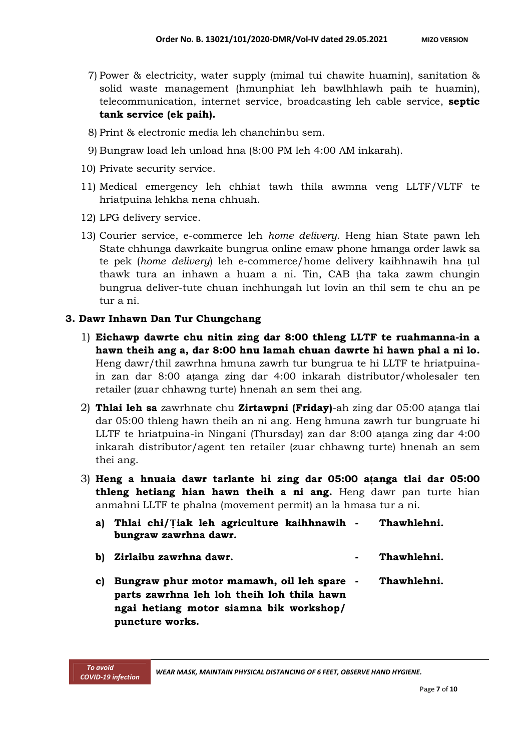- 7) Power & electricity, water supply (mimal tui chawite huamin), sanitation & solid waste management (hmunphiat leh bawlhhlawh paih te huamin), telecommunication, internet service, broadcasting leh cable service, **septic tank service (ek paih).**
- 8) Print & electronic media leh chanchinbu sem.
- 9) Bungraw load leh unload hna (8:00 PM leh 4:00 AM inkarah).
- 10) Private security service.
- 11) Medical emergency leh chhiat tawh thila awmna veng LLTF/VLTF te hriatpuina lehkha nena chhuah.
- 12) LPG delivery service.
- 13) Courier service, e-commerce leh *home delivery*. Heng hian State pawn leh State chhunga dawrkaite bungrua online emaw phone hmanga order lawk sa te pek (*home delivery*) leh e-commerce/home delivery kaihhnawih hna ṭul thawk tura an inhawn a huam a ni. Tin, CAB ṭha taka zawm chungin bungrua deliver-tute chuan inchhungah lut lovin an thil sem te chu an pe tur a ni.

## **3. Dawr Inhawn Dan Tur Chungchang**

- 1) **Eichawp dawrte chu nitin zing dar 8:00 thleng LLTF te ruahmanna-in a hawn theih ang a, dar 8:00 hnu lamah chuan dawrte hi hawn phal a ni lo.** Heng dawr/thil zawrhna hmuna zawrh tur bungrua te hi LLTF te hriatpuinain zan dar 8:00 aṭanga zing dar 4:00 inkarah distributor/wholesaler ten retailer (zuar chhawng turte) hnenah an sem thei ang.
- 2) **Thlai leh sa** zawrhnate chu **Zirtawpni (Friday)**-ah zing dar 05:00 aṭanga tlai dar 05:00 thleng hawn theih an ni ang. Heng hmuna zawrh tur bungruate hi LLTF te hriatpuina-in Ningani (Thursday) zan dar 8:00 aṭanga zing dar 4:00 inkarah distributor/agent ten retailer (zuar chhawng turte) hnenah an sem thei ang.
- 3) **Heng a hnuaia dawr tarlante hi zing dar 05:00 aṭanga tlai dar 05:00 thleng hetiang hian hawn theih a ni ang.** Heng dawr pan turte hian anmahni LLTF te phalna (movement permit) an la hmasa tur a ni.

| a) Thlai chi/Tiak leh agriculture kaihhnawih - Thawhlehni.<br>bungraw zawrhna dawr. |             |
|-------------------------------------------------------------------------------------|-------------|
| b) Zirlaibu zawrhna dawr.                                                           | Thawhlehni. |
| c) Bungraw phur motor mamawh, oil leh spare -                                       | Thawhlehni. |

**parts zawrhna leh loh theih loh thila hawn ngai hetiang motor siamna bik workshop/ puncture works.**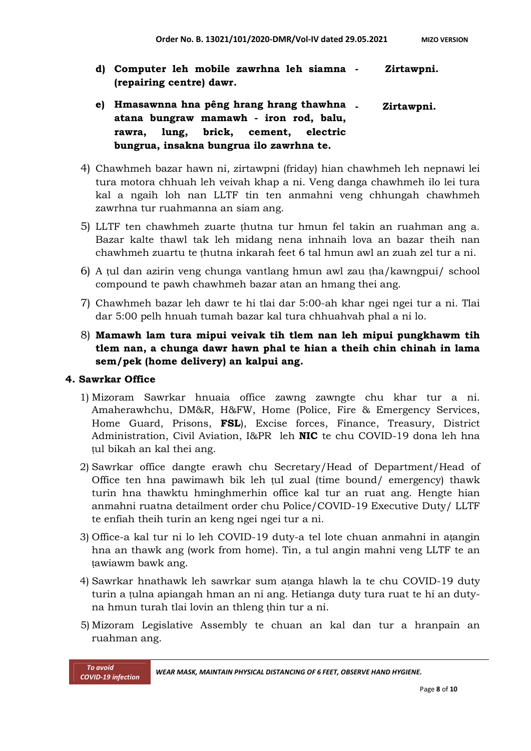- **d) Computer leh mobile zawrhna leh siamna (repairing centre) dawr. - Zirtawpni.**
- **e) Hmasawnna hna pêng hrang hrang thawhna atana bungraw mamawh - iron rod, balu, rawra, lung, brick, cement, electric bungrua, insakna bungrua ilo zawrhna te. - Zirtawpni.**
- 4) Chawhmeh bazar hawn ni, zirtawpni (friday) hian chawhmeh leh nepnawi lei tura motora chhuah leh veivah khap a ni. Veng danga chawhmeh ilo lei tura kal a ngaih loh nan LLTF tin ten anmahni veng chhungah chawhmeh zawrhna tur ruahmanna an siam ang.
- 5) LLTF ten chawhmeh zuarte ṭhutna tur hmun fel takin an ruahman ang a. Bazar kalte thawl tak leh midang nena inhnaih lova an bazar theih nan chawhmeh zuartu te ṭhutna inkarah feet 6 tal hmun awl an zuah zel tur a ni.
- 6) A ṭul dan azirin veng chunga vantlang hmun awl zau ṭha/kawngpui/ school compound te pawh chawhmeh bazar atan an hmang thei ang.
- 7) Chawhmeh bazar leh dawr te hi tlai dar 5:00-ah khar ngei ngei tur a ni. Tlai dar 5:00 pelh hnuah tumah bazar kal tura chhuahvah phal a ni lo.
- 8) **Mamawh lam tura mipui veivak tih tlem nan leh mipui pungkhawm tih tlem nan, a chunga dawr hawn phal te hian a theih chin chinah in lama sem/pek (home delivery) an kalpui ang.**

## **4. Sawrkar Office**

- 1) Mizoram Sawrkar hnuaia office zawng zawngte chu khar tur a ni. Amaherawhchu, DM&R, H&FW, Home (Police, Fire & Emergency Services, Home Guard, Prisons, **FSL**), Excise forces, Finance, Treasury, District Administration, Civil Aviation, I&PR leh **NIC** te chu COVID-19 dona leh hna tul bikah an kal thei ang.
- 2) Sawrkar office dangte erawh chu Secretary/Head of Department/Head of Office ten hna pawimawh bik leh ṭul zual (time bound/ emergency) thawk turin hna thawktu hminghmerhin office kal tur an ruat ang. Hengte hian anmahni ruatna detailment order chu Police/COVID-19 Executive Duty/ LLTF te enfiah theih turin an keng ngei ngei tur a ni.
- 3) Office-a kal tur ni lo leh COVID-19 duty-a tel lote chuan anmahni in aṭangin hna an thawk ang (work from home). Tin, a tul angin mahni veng LLTF te an ṭawiawm bawk ang.
- 4) Sawrkar hnathawk leh sawrkar sum aṭanga hlawh la te chu COVID-19 duty turin a ṭulna apiangah hman an ni ang. Hetianga duty tura ruat te hi an dutyna hmun turah tlai lovin an thleng ṭhin tur a ni.
- 5) Mizoram Legislative Assembly te chuan an kal dan tur a hranpain an ruahman ang.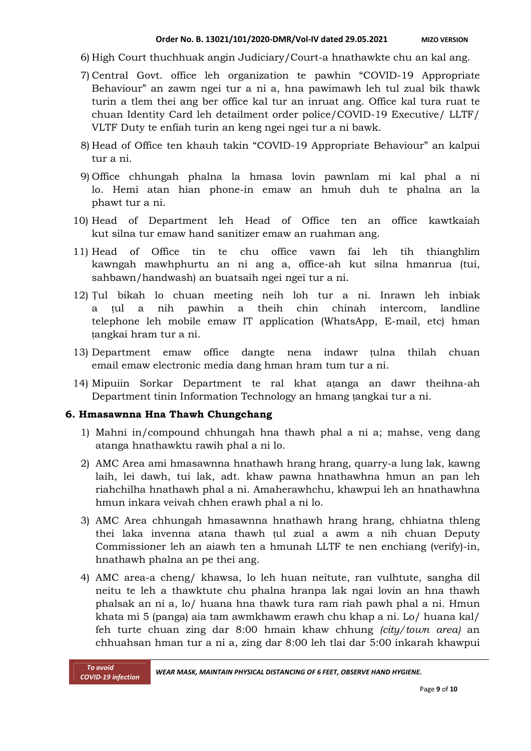- 6) High Court thuchhuak angin Judiciary/Court-a hnathawkte chu an kal ang.
- 7) Central Govt. office leh organization te pawhin "COVID-19 Appropriate Behaviour" an zawm ngei tur a ni a, hna pawimawh leh tul zual bik thawk turin a tlem thei ang ber office kal tur an inruat ang. Office kal tura ruat te chuan Identity Card leh detailment order police/COVID-19 Executive/ LLTF/ VLTF Duty te enfiah turin an keng ngei ngei tur a ni bawk.
- 8) Head of Office ten khauh takin "COVID-19 Appropriate Behaviour" an kalpui tur a ni.
- 9) Office chhungah phalna la hmasa lovin pawnlam mi kal phal a ni lo. Hemi atan hian phone-in emaw an hmuh duh te phalna an la phawt tur a ni.
- 10) Head of Department leh Head of Office ten an office kawtkaiah kut silna tur emaw hand sanitizer emaw an ruahman ang.
- 11) Head of Office tin te chu office vawn fai leh tih thianghlim kawngah mawhphurtu an ni ang a, office-ah kut silna hmanrua (tui, sahbawn/handwash) an buatsaih ngei ngei tur a ni.
- 12) Ṭul bikah lo chuan meeting neih loh tur a ni. Inrawn leh inbiak a ṭul a nih pawhin a theih chin chinah intercom, landline telephone leh mobile emaw IT application (WhatsApp, E-mail, etc) hman ṭangkai hram tur a ni.
- 13) Department emaw office dangte nena indawr ṭulna thilah chuan email emaw electronic media dang hman hram tum tur a ni.
- 14) Mipuiin Sorkar Department te ral khat aṭanga an dawr theihna-ah Department tinin Information Technology an hmang ṭangkai tur a ni.

## **6. Hmasawnna Hna Thawh Chungchang**

- 1) Mahni in/compound chhungah hna thawh phal a ni a; mahse, veng dang atanga hnathawktu rawih phal a ni lo.
- 2) AMC Area ami hmasawnna hnathawh hrang hrang, quarry-a lung lak, kawng laih, lei dawh, tui lak, adt. khaw pawna hnathawhna hmun an pan leh riahchilha hnathawh phal a ni. Amaherawhchu, khawpui leh an hnathawhna hmun inkara veivah chhen erawh phal a ni lo.
- 3) AMC Area chhungah hmasawnna hnathawh hrang hrang, chhiatna thleng thei laka invenna atana thawh ṭul zual a awm a nih chuan Deputy Commissioner leh an aiawh ten a hmunah LLTF te nen enchiang (verify)-in, hnathawh phalna an pe thei ang.
- 4) AMC area-a cheng/ khawsa, lo leh huan neitute, ran vulhtute, sangha dil neitu te leh a thawktute chu phalna hranpa lak ngai lovin an hna thawh phalsak an ni a, lo/ huana hna thawk tura ram riah pawh phal a ni. Hmun khata mi 5 (panga) aia tam awmkhawm erawh chu khap a ni. Lo/ huana kal/ feh turte chuan zing dar 8:00 hmain khaw chhung *(city/town area)* an chhuahsan hman tur a ni a, zing dar 8:00 leh tlai dar 5:00 inkarah khawpui